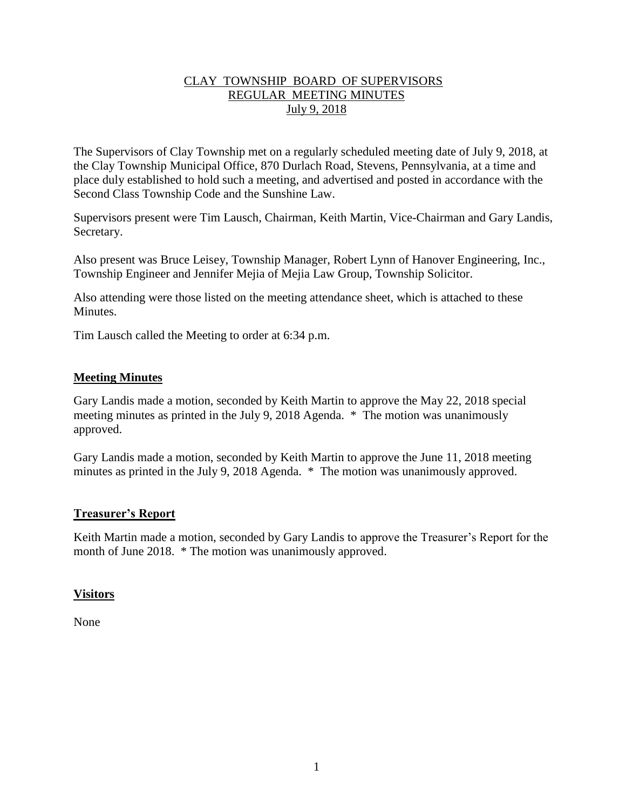# CLAY TOWNSHIP BOARD OF SUPERVISORS REGULAR MEETING MINUTES July 9, 2018

The Supervisors of Clay Township met on a regularly scheduled meeting date of July 9, 2018, at the Clay Township Municipal Office, 870 Durlach Road, Stevens, Pennsylvania, at a time and place duly established to hold such a meeting, and advertised and posted in accordance with the Second Class Township Code and the Sunshine Law.

Supervisors present were Tim Lausch, Chairman, Keith Martin, Vice-Chairman and Gary Landis, Secretary.

Also present was Bruce Leisey, Township Manager, Robert Lynn of Hanover Engineering, Inc., Township Engineer and Jennifer Mejia of Mejia Law Group, Township Solicitor.

Also attending were those listed on the meeting attendance sheet, which is attached to these **Minutes** 

Tim Lausch called the Meeting to order at 6:34 p.m.

# **Meeting Minutes**

Gary Landis made a motion, seconded by Keith Martin to approve the May 22, 2018 special meeting minutes as printed in the July 9, 2018 Agenda. \* The motion was unanimously approved.

Gary Landis made a motion, seconded by Keith Martin to approve the June 11, 2018 meeting minutes as printed in the July 9, 2018 Agenda. \* The motion was unanimously approved.

## **Treasurer's Report**

Keith Martin made a motion, seconded by Gary Landis to approve the Treasurer's Report for the month of June 2018. \* The motion was unanimously approved.

# **Visitors**

None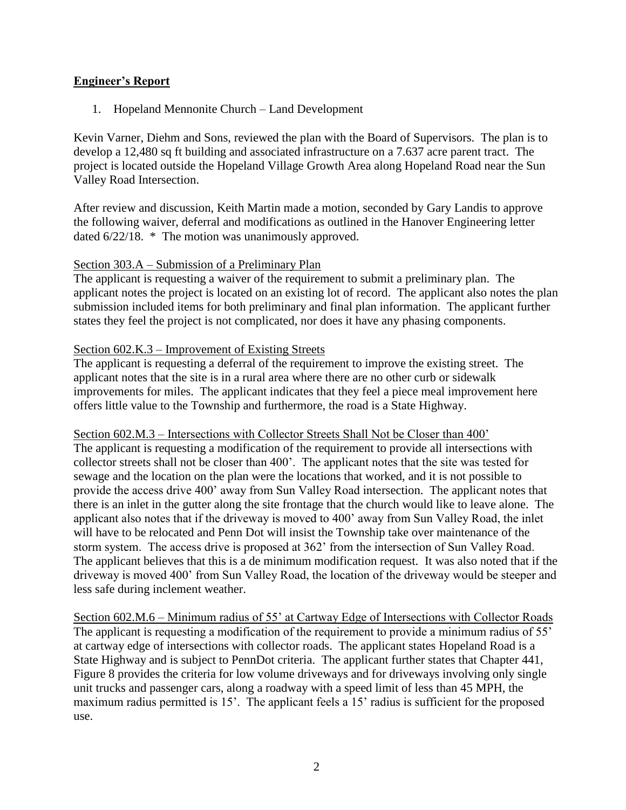# **Engineer's Report**

1. Hopeland Mennonite Church – Land Development

Kevin Varner, Diehm and Sons, reviewed the plan with the Board of Supervisors. The plan is to develop a 12,480 sq ft building and associated infrastructure on a 7.637 acre parent tract. The project is located outside the Hopeland Village Growth Area along Hopeland Road near the Sun Valley Road Intersection.

After review and discussion, Keith Martin made a motion, seconded by Gary Landis to approve the following waiver, deferral and modifications as outlined in the Hanover Engineering letter dated 6/22/18. \* The motion was unanimously approved.

## Section 303.A – Submission of a Preliminary Plan

The applicant is requesting a waiver of the requirement to submit a preliminary plan. The applicant notes the project is located on an existing lot of record. The applicant also notes the plan submission included items for both preliminary and final plan information. The applicant further states they feel the project is not complicated, nor does it have any phasing components.

## Section 602.K.3 – Improvement of Existing Streets

The applicant is requesting a deferral of the requirement to improve the existing street. The applicant notes that the site is in a rural area where there are no other curb or sidewalk improvements for miles. The applicant indicates that they feel a piece meal improvement here offers little value to the Township and furthermore, the road is a State Highway.

#### Section 602.M.3 – Intersections with Collector Streets Shall Not be Closer than 400'

The applicant is requesting a modification of the requirement to provide all intersections with collector streets shall not be closer than 400'. The applicant notes that the site was tested for sewage and the location on the plan were the locations that worked, and it is not possible to provide the access drive 400' away from Sun Valley Road intersection. The applicant notes that there is an inlet in the gutter along the site frontage that the church would like to leave alone. The applicant also notes that if the driveway is moved to 400' away from Sun Valley Road, the inlet will have to be relocated and Penn Dot will insist the Township take over maintenance of the storm system. The access drive is proposed at 362' from the intersection of Sun Valley Road. The applicant believes that this is a de minimum modification request. It was also noted that if the driveway is moved 400' from Sun Valley Road, the location of the driveway would be steeper and less safe during inclement weather.

Section 602.M.6 – Minimum radius of 55' at Cartway Edge of Intersections with Collector Roads The applicant is requesting a modification of the requirement to provide a minimum radius of 55' at cartway edge of intersections with collector roads. The applicant states Hopeland Road is a State Highway and is subject to PennDot criteria. The applicant further states that Chapter 441, Figure 8 provides the criteria for low volume driveways and for driveways involving only single unit trucks and passenger cars, along a roadway with a speed limit of less than 45 MPH, the maximum radius permitted is 15'. The applicant feels a 15' radius is sufficient for the proposed use.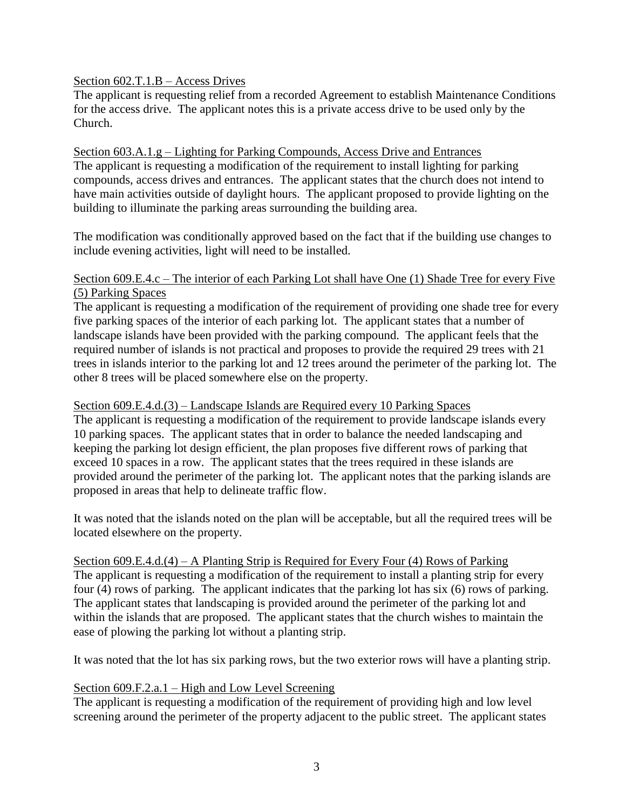## Section 602.T.1.B – Access Drives

The applicant is requesting relief from a recorded Agreement to establish Maintenance Conditions for the access drive. The applicant notes this is a private access drive to be used only by the Church.

#### Section 603.A.1.g – Lighting for Parking Compounds, Access Drive and Entrances

The applicant is requesting a modification of the requirement to install lighting for parking compounds, access drives and entrances. The applicant states that the church does not intend to have main activities outside of daylight hours. The applicant proposed to provide lighting on the building to illuminate the parking areas surrounding the building area.

The modification was conditionally approved based on the fact that if the building use changes to include evening activities, light will need to be installed.

#### Section 609.E.4.c – The interior of each Parking Lot shall have One (1) Shade Tree for every Five (5) Parking Spaces

The applicant is requesting a modification of the requirement of providing one shade tree for every five parking spaces of the interior of each parking lot. The applicant states that a number of landscape islands have been provided with the parking compound. The applicant feels that the required number of islands is not practical and proposes to provide the required 29 trees with 21 trees in islands interior to the parking lot and 12 trees around the perimeter of the parking lot. The other 8 trees will be placed somewhere else on the property.

#### Section 609.E.4.d.(3) – Landscape Islands are Required every 10 Parking Spaces

The applicant is requesting a modification of the requirement to provide landscape islands every 10 parking spaces. The applicant states that in order to balance the needed landscaping and keeping the parking lot design efficient, the plan proposes five different rows of parking that exceed 10 spaces in a row. The applicant states that the trees required in these islands are provided around the perimeter of the parking lot. The applicant notes that the parking islands are proposed in areas that help to delineate traffic flow.

It was noted that the islands noted on the plan will be acceptable, but all the required trees will be located elsewhere on the property.

# Section 609.E.4.d.(4) – A Planting Strip is Required for Every Four (4) Rows of Parking The applicant is requesting a modification of the requirement to install a planting strip for every four (4) rows of parking. The applicant indicates that the parking lot has six (6) rows of parking.

The applicant states that landscaping is provided around the perimeter of the parking lot and within the islands that are proposed. The applicant states that the church wishes to maintain the ease of plowing the parking lot without a planting strip.

It was noted that the lot has six parking rows, but the two exterior rows will have a planting strip.

# Section 609.F.2.a.1 – High and Low Level Screening

The applicant is requesting a modification of the requirement of providing high and low level screening around the perimeter of the property adjacent to the public street. The applicant states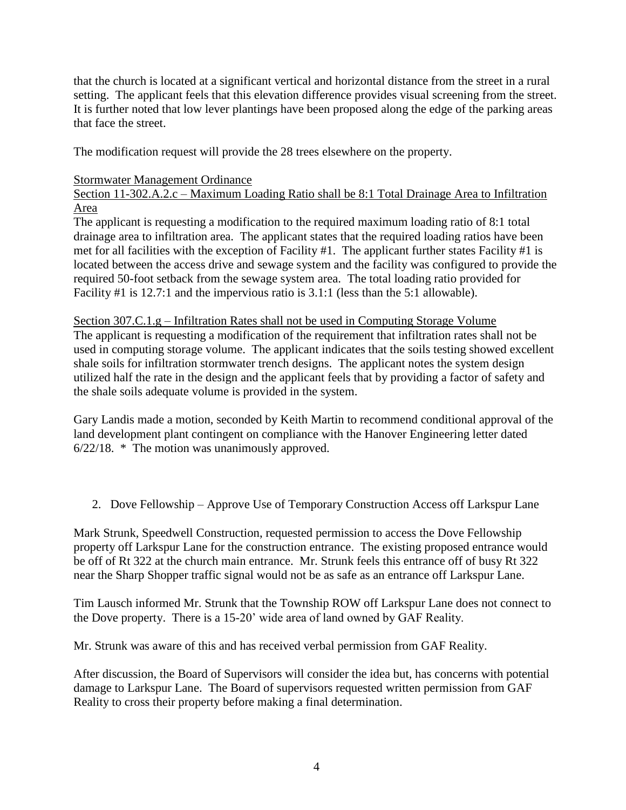that the church is located at a significant vertical and horizontal distance from the street in a rural setting. The applicant feels that this elevation difference provides visual screening from the street. It is further noted that low lever plantings have been proposed along the edge of the parking areas that face the street.

The modification request will provide the 28 trees elsewhere on the property.

## Stormwater Management Ordinance

Section 11-302.A.2.c – Maximum Loading Ratio shall be 8:1 Total Drainage Area to Infiltration Area

The applicant is requesting a modification to the required maximum loading ratio of 8:1 total drainage area to infiltration area. The applicant states that the required loading ratios have been met for all facilities with the exception of Facility #1. The applicant further states Facility #1 is located between the access drive and sewage system and the facility was configured to provide the required 50-foot setback from the sewage system area. The total loading ratio provided for Facility #1 is 12.7:1 and the impervious ratio is 3.1:1 (less than the 5:1 allowable).

Section 307.C.1.g – Infiltration Rates shall not be used in Computing Storage Volume The applicant is requesting a modification of the requirement that infiltration rates shall not be used in computing storage volume. The applicant indicates that the soils testing showed excellent shale soils for infiltration stormwater trench designs. The applicant notes the system design utilized half the rate in the design and the applicant feels that by providing a factor of safety and the shale soils adequate volume is provided in the system.

Gary Landis made a motion, seconded by Keith Martin to recommend conditional approval of the land development plant contingent on compliance with the Hanover Engineering letter dated 6/22/18. \* The motion was unanimously approved.

2. Dove Fellowship – Approve Use of Temporary Construction Access off Larkspur Lane

Mark Strunk, Speedwell Construction, requested permission to access the Dove Fellowship property off Larkspur Lane for the construction entrance. The existing proposed entrance would be off of Rt 322 at the church main entrance. Mr. Strunk feels this entrance off of busy Rt 322 near the Sharp Shopper traffic signal would not be as safe as an entrance off Larkspur Lane.

Tim Lausch informed Mr. Strunk that the Township ROW off Larkspur Lane does not connect to the Dove property. There is a 15-20' wide area of land owned by GAF Reality.

Mr. Strunk was aware of this and has received verbal permission from GAF Reality.

After discussion, the Board of Supervisors will consider the idea but, has concerns with potential damage to Larkspur Lane. The Board of supervisors requested written permission from GAF Reality to cross their property before making a final determination.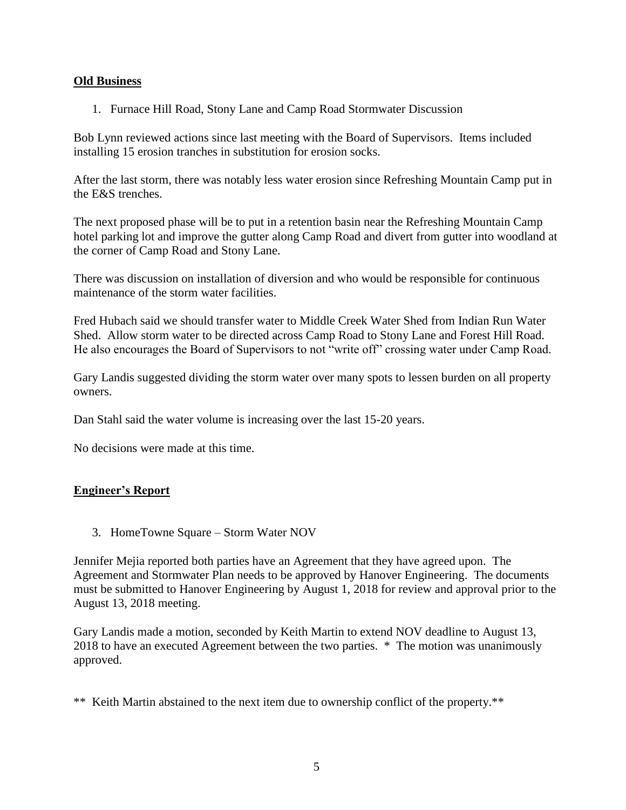## **Old Business**

1. Furnace Hill Road, Stony Lane and Camp Road Stormwater Discussion

Bob Lynn reviewed actions since last meeting with the Board of Supervisors. Items included installing 15 erosion tranches in substitution for erosion socks.

After the last storm, there was notably less water erosion since Refreshing Mountain Camp put in the E&S trenches.

The next proposed phase will be to put in a retention basin near the Refreshing Mountain Camp hotel parking lot and improve the gutter along Camp Road and divert from gutter into woodland at the corner of Camp Road and Stony Lane.

There was discussion on installation of diversion and who would be responsible for continuous maintenance of the storm water facilities.

Fred Hubach said we should transfer water to Middle Creek Water Shed from Indian Run Water Shed. Allow storm water to be directed across Camp Road to Stony Lane and Forest Hill Road. He also encourages the Board of Supervisors to not "write off" crossing water under Camp Road.

Gary Landis suggested dividing the storm water over many spots to lessen burden on all property owners.

Dan Stahl said the water volume is increasing over the last 15-20 years.

No decisions were made at this time.

## **Engineer's Report**

3. HomeTowne Square – Storm Water NOV

Jennifer Mejia reported both parties have an Agreement that they have agreed upon. The Agreement and Stormwater Plan needs to be approved by Hanover Engineering. The documents must be submitted to Hanover Engineering by August 1, 2018 for review and approval prior to the August 13, 2018 meeting.

Gary Landis made a motion, seconded by Keith Martin to extend NOV deadline to August 13, 2018 to have an executed Agreement between the two parties. \* The motion was unanimously approved.

\*\* Keith Martin abstained to the next item due to ownership conflict of the property.\*\*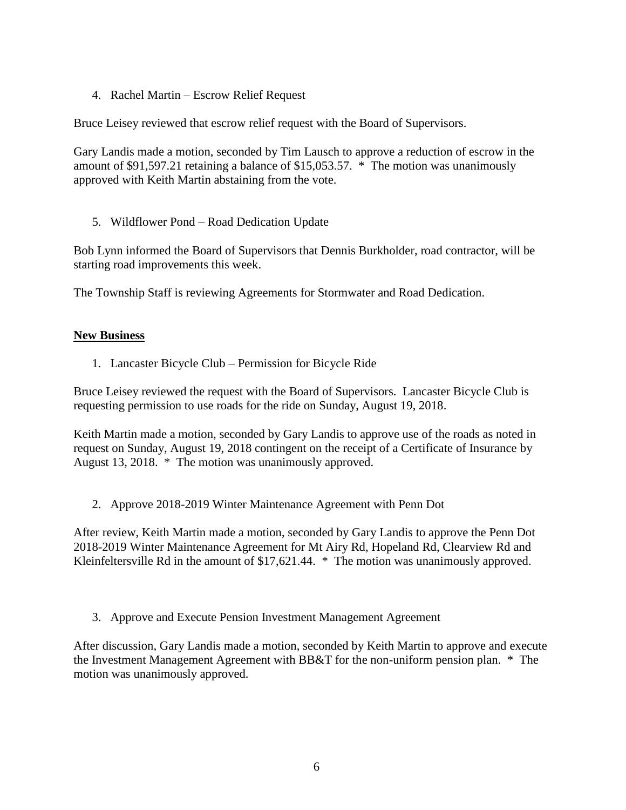4. Rachel Martin – Escrow Relief Request

Bruce Leisey reviewed that escrow relief request with the Board of Supervisors.

Gary Landis made a motion, seconded by Tim Lausch to approve a reduction of escrow in the amount of \$91,597.21 retaining a balance of \$15,053.57. \* The motion was unanimously approved with Keith Martin abstaining from the vote.

5. Wildflower Pond – Road Dedication Update

Bob Lynn informed the Board of Supervisors that Dennis Burkholder, road contractor, will be starting road improvements this week.

The Township Staff is reviewing Agreements for Stormwater and Road Dedication.

## **New Business**

1. Lancaster Bicycle Club – Permission for Bicycle Ride

Bruce Leisey reviewed the request with the Board of Supervisors. Lancaster Bicycle Club is requesting permission to use roads for the ride on Sunday, August 19, 2018.

Keith Martin made a motion, seconded by Gary Landis to approve use of the roads as noted in request on Sunday, August 19, 2018 contingent on the receipt of a Certificate of Insurance by August 13, 2018. \* The motion was unanimously approved.

2. Approve 2018-2019 Winter Maintenance Agreement with Penn Dot

After review, Keith Martin made a motion, seconded by Gary Landis to approve the Penn Dot 2018-2019 Winter Maintenance Agreement for Mt Airy Rd, Hopeland Rd, Clearview Rd and Kleinfeltersville Rd in the amount of \$17,621.44. \* The motion was unanimously approved.

3. Approve and Execute Pension Investment Management Agreement

After discussion, Gary Landis made a motion, seconded by Keith Martin to approve and execute the Investment Management Agreement with BB&T for the non-uniform pension plan. \* The motion was unanimously approved.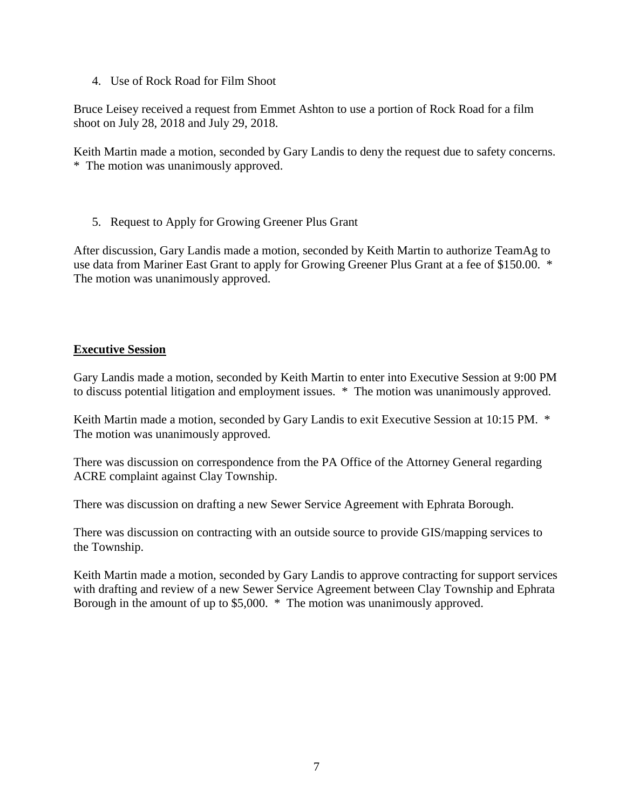4. Use of Rock Road for Film Shoot

Bruce Leisey received a request from Emmet Ashton to use a portion of Rock Road for a film shoot on July 28, 2018 and July 29, 2018.

Keith Martin made a motion, seconded by Gary Landis to deny the request due to safety concerns. \* The motion was unanimously approved.

5. Request to Apply for Growing Greener Plus Grant

After discussion, Gary Landis made a motion, seconded by Keith Martin to authorize TeamAg to use data from Mariner East Grant to apply for Growing Greener Plus Grant at a fee of \$150.00. \* The motion was unanimously approved.

## **Executive Session**

Gary Landis made a motion, seconded by Keith Martin to enter into Executive Session at 9:00 PM to discuss potential litigation and employment issues. \* The motion was unanimously approved.

Keith Martin made a motion, seconded by Gary Landis to exit Executive Session at 10:15 PM. \* The motion was unanimously approved.

There was discussion on correspondence from the PA Office of the Attorney General regarding ACRE complaint against Clay Township.

There was discussion on drafting a new Sewer Service Agreement with Ephrata Borough.

There was discussion on contracting with an outside source to provide GIS/mapping services to the Township.

Keith Martin made a motion, seconded by Gary Landis to approve contracting for support services with drafting and review of a new Sewer Service Agreement between Clay Township and Ephrata Borough in the amount of up to \$5,000. \* The motion was unanimously approved.